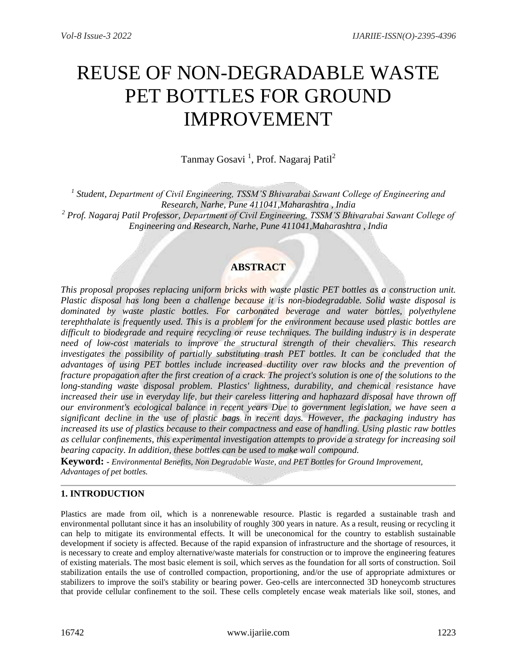# REUSE OF NON-DEGRADABLE WASTE PET BOTTLES FOR GROUND IMPROVEMENT

Tanmay Gosavi<sup>1</sup>, Prof. Nagaraj Patil<sup>2</sup>

*1 Student, Department of Civil Engineering, TSSM'S Bhivarabai Sawant College of Engineering and Research, Narhe, Pune 411041,Maharashtra , India <sup>2</sup> Prof. Nagaraj Patil Professor, Department of Civil Engineering, TSSM'S Bhivarabai Sawant College of Engineering and Research, Narhe, Pune 411041,Maharashtra , India*

# **ABSTRACT**

*This proposal proposes replacing uniform bricks with waste plastic PET bottles as a construction unit. Plastic disposal has long been a challenge because it is non-biodegradable. Solid waste disposal is dominated by waste plastic bottles. For carbonated beverage and water bottles, polyethylene terephthalate is frequently used. This is a problem for the environment because used plastic bottles are difficult to biodegrade and require recycling or reuse techniques. The building industry is in desperate need of low-cost materials to improve the structural strength of their chevaliers. This research investigates the possibility of partially substituting trash PET bottles. It can be concluded that the advantages of using PET bottles include increased ductility over raw blocks and the prevention of fracture propagation after the first creation of a crack. The project's solution is one of the solutions to the long-standing waste disposal problem. Plastics' lightness, durability, and chemical resistance have increased their use in everyday life, but their careless littering and haphazard disposal have thrown off our environment's ecological balance in recent years Due to government legislation, we have seen a significant decline in the use of plastic bags in recent days. However, the packaging industry has increased its use of plastics because to their compactness and ease of handling. Using plastic raw bottles as cellular confinements, this experimental investigation attempts to provide a strategy for increasing soil bearing capacity. In addition, these bottles can be used to make wall compound.*

**Keyword: -** *Environmental Benefits, Non Degradable Waste, and PET Bottles for Ground Improvement, Advantages of pet bottles.*

## **1. INTRODUCTION**

Plastics are made from oil, which is a nonrenewable resource. Plastic is regarded a sustainable trash and environmental pollutant since it has an insolubility of roughly 300 years in nature. As a result, reusing or recycling it can help to mitigate its environmental effects. It will be uneconomical for the country to establish sustainable development if society is affected. Because of the rapid expansion of infrastructure and the shortage of resources, it is necessary to create and employ alternative/waste materials for construction or to improve the engineering features of existing materials. The most basic element is soil, which serves as the foundation for all sorts of construction. Soil stabilization entails the use of controlled compaction, proportioning, and/or the use of appropriate admixtures or stabilizers to improve the soil's stability or bearing power. Geo-cells are interconnected 3D honeycomb structures that provide cellular confinement to the soil. These cells completely encase weak materials like soil, stones, and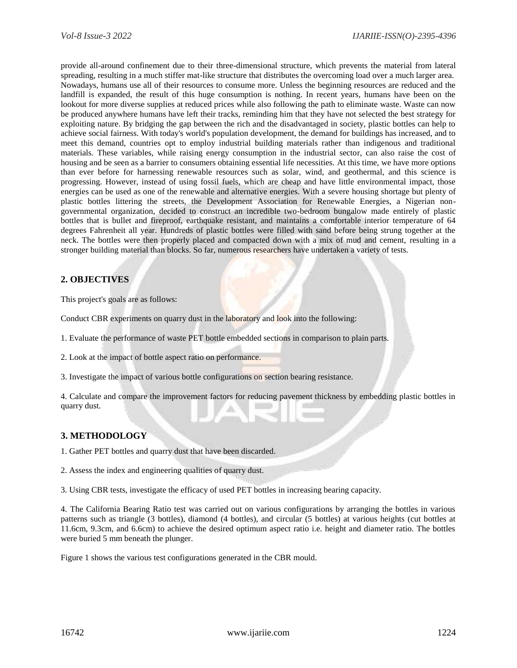provide all-around confinement due to their three-dimensional structure, which prevents the material from lateral spreading, resulting in a much stiffer mat-like structure that distributes the overcoming load over a much larger area. Nowadays, humans use all of their resources to consume more. Unless the beginning resources are reduced and the landfill is expanded, the result of this huge consumption is nothing. In recent years, humans have been on the lookout for more diverse supplies at reduced prices while also following the path to eliminate waste. Waste can now be produced anywhere humans have left their tracks, reminding him that they have not selected the best strategy for exploiting nature. By bridging the gap between the rich and the disadvantaged in society, plastic bottles can help to achieve social fairness. With today's world's population development, the demand for buildings has increased, and to meet this demand, countries opt to employ industrial building materials rather than indigenous and traditional materials. These variables, while raising energy consumption in the industrial sector, can also raise the cost of housing and be seen as a barrier to consumers obtaining essential life necessities. At this time, we have more options than ever before for harnessing renewable resources such as solar, wind, and geothermal, and this science is progressing. However, instead of using fossil fuels, which are cheap and have little environmental impact, those energies can be used as one of the renewable and alternative energies. With a severe housing shortage but plenty of plastic bottles littering the streets, the Development Association for Renewable Energies, a Nigerian nongovernmental organization, decided to construct an incredible two-bedroom bungalow made entirely of plastic bottles that is bullet and fireproof, earthquake resistant, and maintains a comfortable interior temperature of 64 degrees Fahrenheit all year. Hundreds of plastic bottles were filled with sand before being strung together at the neck. The bottles were then properly placed and compacted down with a mix of mud and cement, resulting in a stronger building material than blocks. So far, numerous researchers have undertaken a variety of tests.

## **2. OBJECTIVES**

This project's goals are as follows:

Conduct CBR experiments on quarry dust in the laboratory and look into the following:

1. Evaluate the performance of waste PET bottle embedded sections in comparison to plain parts.

2. Look at the impact of bottle aspect ratio on performance.

3. Investigate the impact of various bottle configurations on section bearing resistance.

4. Calculate and compare the improvement factors for reducing pavement thickness by embedding plastic bottles in quarry dust.

## **3. METHODOLOGY**

1. Gather PET bottles and quarry dust that have been discarded.

2. Assess the index and engineering qualities of quarry dust.

3. Using CBR tests, investigate the efficacy of used PET bottles in increasing bearing capacity.

4. The California Bearing Ratio test was carried out on various configurations by arranging the bottles in various patterns such as triangle (3 bottles), diamond (4 bottles), and circular (5 bottles) at various heights (cut bottles at 11.6cm, 9.3cm, and 6.6cm) to achieve the desired optimum aspect ratio i.e. height and diameter ratio. The bottles were buried 5 mm beneath the plunger.

Figure 1 shows the various test configurations generated in the CBR mould.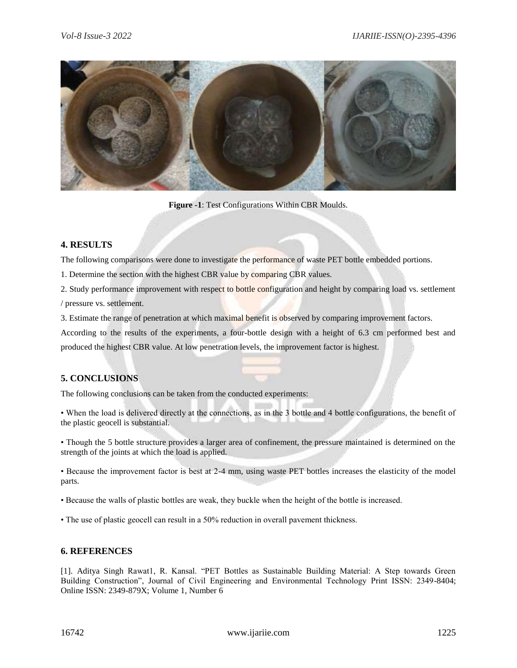

**Figure -1**: Test Configurations Within CBR Moulds.

#### **4. RESULTS**

The following comparisons were done to investigate the performance of waste PET bottle embedded portions.

1. Determine the section with the highest CBR value by comparing CBR values.

2. Study performance improvement with respect to bottle configuration and height by comparing load vs. settlement / pressure vs. settlement.

3. Estimate the range of penetration at which maximal benefit is observed by comparing improvement factors.

According to the results of the experiments, a four-bottle design with a height of 6.3 cm performed best and produced the highest CBR value. At low penetration levels, the improvement factor is highest.

## **5. CONCLUSIONS**

The following conclusions can be taken from the conducted experiments:

• When the load is delivered directly at the connections, as in the 3 bottle and 4 bottle configurations, the benefit of the plastic geocell is substantial.

• Though the 5 bottle structure provides a larger area of confinement, the pressure maintained is determined on the strength of the joints at which the load is applied.

• Because the improvement factor is best at 2-4 mm, using waste PET bottles increases the elasticity of the model parts.

• Because the walls of plastic bottles are weak, they buckle when the height of the bottle is increased.

• The use of plastic geocell can result in a 50% reduction in overall pavement thickness.

#### **6. REFERENCES**

[1]. Aditya Singh Rawat1, R. Kansal. "PET Bottles as Sustainable Building Material: A Step towards Green Building Construction", Journal of Civil Engineering and Environmental Technology Print ISSN: 2349-8404; Online ISSN: 2349-879X; Volume 1, Number 6